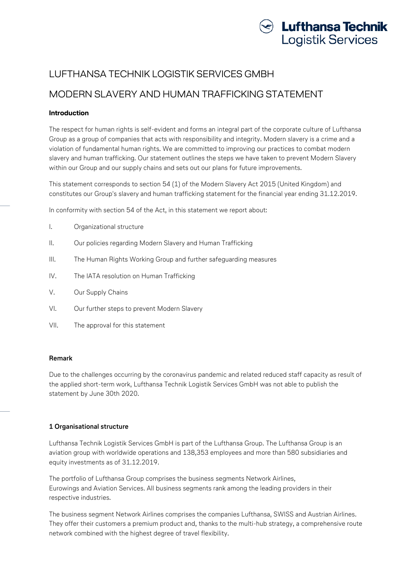

# LUFTHANSA TECHNIK LOGISTIK SERVICES GMBH

# MODERN SLAVERY AND HUMAN TRAFFICKING STATEMENT

## **Introduction**

The respect for human rights is self-evident and forms an integral part of the corporate culture of Lufthansa Group as a group of companies that acts with responsibility and integrity. Modern slavery is a crime and a violation of fundamental human rights. We are committed to improving our practices to combat modern slavery and human trafficking. Our statement outlines the steps we have taken to prevent Modern Slavery within our Group and our supply chains and sets out our plans for future improvements.

This statement corresponds to section 54 (1) of the Modern Slavery Act 2015 (United Kingdom) and constitutes our Group's slavery and human trafficking statement for the financial year ending 31.12.2019.

In conformity with section 54 of the Act, in this statement we report about:

- I. Organizational structure
- II. Our policies regarding Modern Slavery and Human Trafficking
- III. The Human Rights Working Group and further safeguarding measures
- IV. The IATA resolution on Human Trafficking
- V. Our Supply Chains
- VI. Our further steps to prevent Modern Slavery
- VII. The approval for this statement

#### **Remark**

Due to the challenges occurring by the coronavirus pandemic and related reduced staff capacity as result of the applied short-term work, Lufthansa Technik Logistik Services GmbH was not able to publish the statement by June 30th 2020.

## **1 Organisational structure**

Lufthansa Technik Logistik Services GmbH is part of the Lufthansa Group. The Lufthansa Group is an aviation group with worldwide operations and 138,353 employees and more than 580 subsidiaries and equity investments as of 31.12.2019.

The portfolio of Lufthansa Group comprises the business segments Network Airlines, Eurowings and Aviation Services. All business segments rank among the leading providers in their respective industries.

The business segment Network Airlines comprises the companies Lufthansa, SWISS and Austrian Airlines. They offer their customers a premium product and, thanks to the multi-hub strategy, a comprehensive route network combined with the highest degree of travel flexibility.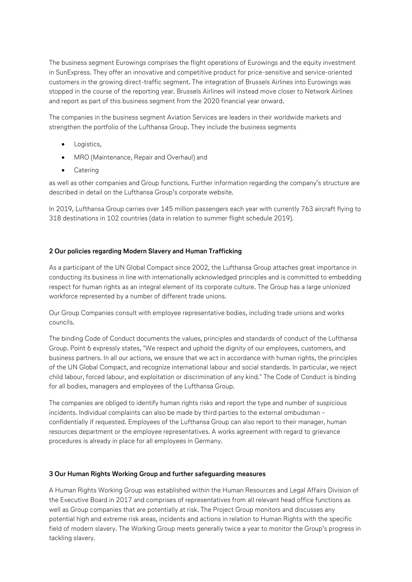The business segment Eurowings comprises the flight operations of Eurowings and the equity investment in SunExpress. They offer an innovative and competitive product for price-sensitive and service-oriented customers in the growing direct-traffic segment. The integration of Brussels Airlines into Eurowings was stopped in the course of the reporting year. Brussels Airlines will instead move closer to Network Airlines and report as part of this business segment from the 2020 financial year onward.

The companies in the business segment Aviation Services are leaders in their worldwide markets and strengthen the portfolio of the Lufthansa Group. They include the business segments

- Logistics,
- MRO (Maintenance, Repair and Overhaul) and
- **•** Catering

as well as other companies and Group functions. Further information regarding the company's structure are described in detail on the Lufthansa Group's corporate website.

In 2019, Lufthansa Group carries over 145 million passengers each year with currently 763 aircraft flying to 318 destinations in 102 countries (data in relation to summer flight schedule 2019).

# **2 Our policies regarding Modern Slavery and Human Trafficking**

As a participant of the UN Global Compact since 2002, the Lufthansa Group attaches great importance in conducting its business in line with internationally acknowledged principles and is committed to embedding respect for human rights as an integral element of its corporate culture. The Group has a large unionized workforce represented by a number of different trade unions.

Our Group Companies consult with employee representative bodies, including trade unions and works councils.

The binding Code of Conduct documents the values, principles and standards of conduct of the Lufthansa Group. Point 6 expressly states, "We respect and uphold the dignity of our employees, customers, and business partners. In all our actions, we ensure that we act in accordance with human rights, the principles of the UN Global Compact, and recognize international labour and social standards. In particular, we reject child labour, forced labour, and exploitation or discrimination of any kind." The Code of Conduct is binding for all bodies, managers and employees of the Lufthansa Group.

The companies are obliged to identify human rights risks and report the type and number of suspicious incidents. Individual complaints can also be made by third parties to the external ombudsman – confidentially if requested. Employees of the Lufthansa Group can also report to their manager, human resources department or the employee representatives. A works agreement with regard to grievance procedures is already in place for all employees in Germany.

# **3 Our Human Rights Working Group and further safeguarding measures**

A Human Rights Working Group was established within the Human Resources and Legal Affairs Division of the Executive Board in 2017 and comprises of representatives from all relevant head office functions as well as Group companies that are potentially at risk. The Project Group monitors and discusses any potential high and extreme risk areas, incidents and actions in relation to Human Rights with the specific field of modern slavery. The Working Group meets generally twice a year to monitor the Group's progress in tackling slavery.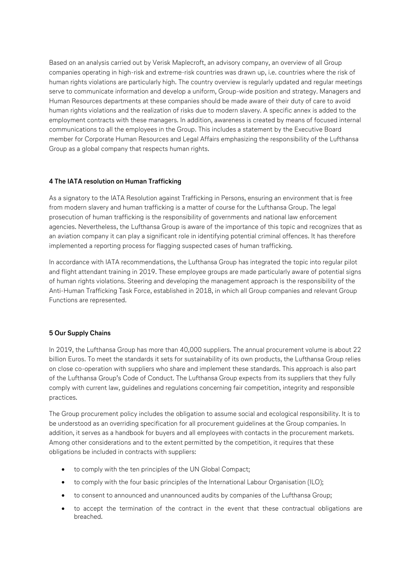Based on an analysis carried out by Verisk Maplecroft, an advisory company, an overview of all Group companies operating in high-risk and extreme-risk countries was drawn up, i.e. countries where the risk of human rights violations are particularly high. The country overview is regularly updated and regular meetings serve to communicate information and develop a uniform, Group-wide position and strategy. Managers and Human Resources departments at these companies should be made aware of their duty of care to avoid human rights violations and the realization of risks due to modern slavery. A specific annex is added to the employment contracts with these managers. In addition, awareness is created by means of focused internal communications to all the employees in the Group. This includes a statement by the Executive Board member for Corporate Human Resources and Legal Affairs emphasizing the responsibility of the Lufthansa Group as a global company that respects human rights.

## **4 The IATA resolution on Human Trafficking**

As a signatory to the IATA Resolution against Trafficking in Persons, ensuring an environment that is free from modern slavery and human trafficking is a matter of course for the Lufthansa Group. The legal prosecution of human trafficking is the responsibility of governments and national law enforcement agencies. Nevertheless, the Lufthansa Group is aware of the importance of this topic and recognizes that as an aviation company it can play a significant role in identifying potential criminal offences. It has therefore implemented a reporting process for flagging suspected cases of human trafficking.

In accordance with IATA recommendations, the Lufthansa Group has integrated the topic into regular pilot and flight attendant training in 2019. These employee groups are made particularly aware of potential signs of human rights violations. Steering and developing the management approach is the responsibility of the Anti-Human Trafficking Task Force, established in 2018, in which all Group companies and relevant Group Functions are represented.

## **5 Our Supply Chains**

In 2019, the Lufthansa Group has more than 40,000 suppliers. The annual procurement volume is about 22 billion Euros. To meet the standards it sets for sustainability of its own products, the Lufthansa Group relies on close co-operation with suppliers who share and implement these standards. This approach is also part of the Lufthansa Group's Code of Conduct. The Lufthansa Group expects from its suppliers that they fully comply with current law, guidelines and regulations concerning fair competition, integrity and responsible practices.

The Group procurement policy includes the obligation to assume social and ecological responsibility. It is to be understood as an overriding specification for all procurement guidelines at the Group companies. In addition, it serves as a handbook for buyers and all employees with contacts in the procurement markets. Among other considerations and to the extent permitted by the competition, it requires that these obligations be included in contracts with suppliers:

- to comply with the ten principles of the UN Global Compact;
- to comply with the four basic principles of the International Labour Organisation (ILO);
- to consent to announced and unannounced audits by companies of the Lufthansa Group;
- to accept the termination of the contract in the event that these contractual obligations are breached.